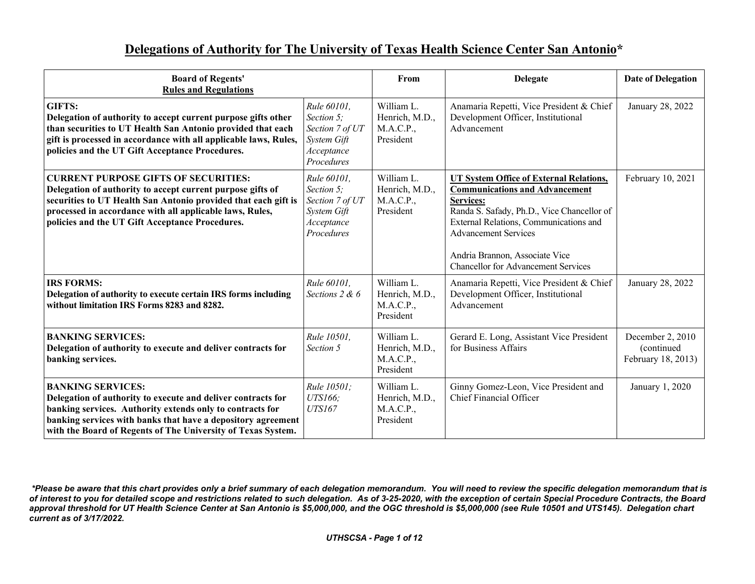## **Delegations of Authority for The University of Texas Health Science Center San Antonio\***

| <b>Board of Regents'</b><br><b>Rules and Regulations</b>                                                                                                                                                                                                                                   |                                                                                         | From                                                   | <b>Delegate</b>                                                                                                                                                                                                                                                                                             | <b>Date of Delegation</b>                             |
|--------------------------------------------------------------------------------------------------------------------------------------------------------------------------------------------------------------------------------------------------------------------------------------------|-----------------------------------------------------------------------------------------|--------------------------------------------------------|-------------------------------------------------------------------------------------------------------------------------------------------------------------------------------------------------------------------------------------------------------------------------------------------------------------|-------------------------------------------------------|
| <b>GIFTS:</b><br>Delegation of authority to accept current purpose gifts other<br>than securities to UT Health San Antonio provided that each<br>gift is processed in accordance with all applicable laws, Rules,<br>policies and the UT Gift Acceptance Procedures.                       | Rule 60101,<br>Section 5;<br>Section 7 of UT<br>System Gift<br>Acceptance<br>Procedures | William L.<br>Henrich, M.D.,<br>M.A.C.P.,<br>President | Anamaria Repetti, Vice President & Chief<br>Development Officer, Institutional<br>Advancement                                                                                                                                                                                                               | January 28, 2022                                      |
| <b>CURRENT PURPOSE GIFTS OF SECURITIES:</b><br>Delegation of authority to accept current purpose gifts of<br>securities to UT Health San Antonio provided that each gift is<br>processed in accordance with all applicable laws, Rules,<br>policies and the UT Gift Acceptance Procedures. | Rule 60101,<br>Section 5;<br>Section 7 of UT<br>System Gift<br>Acceptance<br>Procedures | William L.<br>Henrich, M.D.,<br>M.A.C.P.,<br>President | <b>UT System Office of External Relations,</b><br><b>Communications and Advancement</b><br>Services:<br>Randa S. Safady, Ph.D., Vice Chancellor of<br>External Relations, Communications and<br><b>Advancement Services</b><br>Andria Brannon, Associate Vice<br><b>Chancellor for Advancement Services</b> | February 10, 2021                                     |
| <b>IRS FORMS:</b><br>Delegation of authority to execute certain IRS forms including<br>without limitation IRS Forms 8283 and 8282.                                                                                                                                                         | Rule 60101,<br>Sections $2 & 6$                                                         | William L.<br>Henrich, M.D.,<br>M.A.C.P.,<br>President | Anamaria Repetti, Vice President & Chief<br>Development Officer, Institutional<br>Advancement                                                                                                                                                                                                               | January 28, 2022                                      |
| <b>BANKING SERVICES:</b><br>Delegation of authority to execute and deliver contracts for<br>banking services.                                                                                                                                                                              | Rule 10501,<br>Section 5                                                                | William L.<br>Henrich, M.D.,<br>M.A.C.P.,<br>President | Gerard E. Long, Assistant Vice President<br>for Business Affairs                                                                                                                                                                                                                                            | December 2, 2010<br>(continued)<br>February 18, 2013) |
| <b>BANKING SERVICES:</b><br>Delegation of authority to execute and deliver contracts for<br>banking services. Authority extends only to contracts for<br>banking services with banks that have a depository agreement<br>with the Board of Regents of The University of Texas System.      | Rule 10501;<br><b>UTS166</b> ;<br><b>UTS167</b>                                         | William L.<br>Henrich, M.D.,<br>M.A.C.P.,<br>President | Ginny Gomez-Leon, Vice President and<br>Chief Financial Officer                                                                                                                                                                                                                                             | January 1, 2020                                       |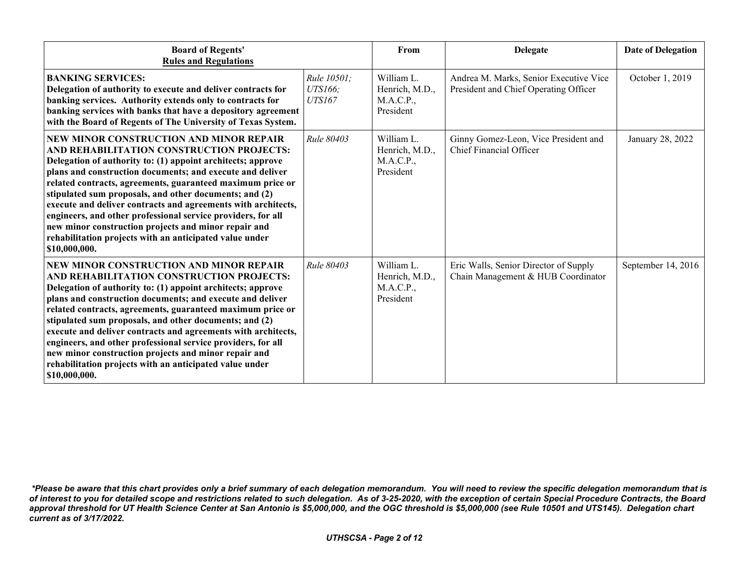| <b>Board of Regents'</b><br><b>Rules and Regulations</b>                                                                                                                                                                                                                                                                                                                                                                                                                                                                                                                                                             |                                          | From                                                   | <b>Delegate</b>                                                                 | <b>Date of Delegation</b> |
|----------------------------------------------------------------------------------------------------------------------------------------------------------------------------------------------------------------------------------------------------------------------------------------------------------------------------------------------------------------------------------------------------------------------------------------------------------------------------------------------------------------------------------------------------------------------------------------------------------------------|------------------------------------------|--------------------------------------------------------|---------------------------------------------------------------------------------|---------------------------|
| <b>BANKING SERVICES:</b><br>Delegation of authority to execute and deliver contracts for<br>banking services. Authority extends only to contracts for<br>banking services with banks that have a depository agreement<br>with the Board of Regents of The University of Texas System.                                                                                                                                                                                                                                                                                                                                | Rule 10501;<br><b>UTS166</b> ;<br>UTS167 | William L.<br>Henrich, M.D.,<br>M.A.C.P.,<br>President | Andrea M. Marks, Senior Executive Vice<br>President and Chief Operating Officer | October 1, 2019           |
| NEW MINOR CONSTRUCTION AND MINOR REPAIR<br>AND REHABILITATION CONSTRUCTION PROJECTS:<br>Delegation of authority to: (1) appoint architects; approve<br>plans and construction documents; and execute and deliver<br>related contracts, agreements, guaranteed maximum price or<br>stipulated sum proposals, and other documents; and (2)<br>execute and deliver contracts and agreements with architects,<br>engineers, and other professional service providers, for all<br>new minor construction projects and minor repair and<br>rehabilitation projects with an anticipated value under<br>\$10,000,000.        | Rule 80403                               | William L.<br>Henrich, M.D.,<br>M.A.C.P.,<br>President | Ginny Gomez-Leon, Vice President and<br>Chief Financial Officer                 | January 28, 2022          |
| <b>NEW MINOR CONSTRUCTION AND MINOR REPAIR</b><br>AND REHABILITATION CONSTRUCTION PROJECTS:<br>Delegation of authority to: (1) appoint architects; approve<br>plans and construction documents; and execute and deliver<br>related contracts, agreements, guaranteed maximum price or<br>stipulated sum proposals, and other documents; and (2)<br>execute and deliver contracts and agreements with architects,<br>engineers, and other professional service providers, for all<br>new minor construction projects and minor repair and<br>rehabilitation projects with an anticipated value under<br>\$10,000,000. | Rule 80403                               | William L.<br>Henrich, M.D.,<br>M.A.C.P.,<br>President | Eric Walls, Senior Director of Supply<br>Chain Management & HUB Coordinator     | September 14, 2016        |

*<sup>\*</sup>Please be aware that this chart provides only a brief summary of each delegation memorandum. You will need to review the specific delegation memorandum that is of interest to you for detailed scope and restrictions related to such delegation. As of 3-25-2020, with the exception of certain Special Procedure Contracts, the Board approval threshold for UT Health Science Center at San Antonio is \$5,000,000, and the OGC threshold is \$5,000,000 (see Rule 10501 and UTS145). Delegation chart current as of 3/17/2022.*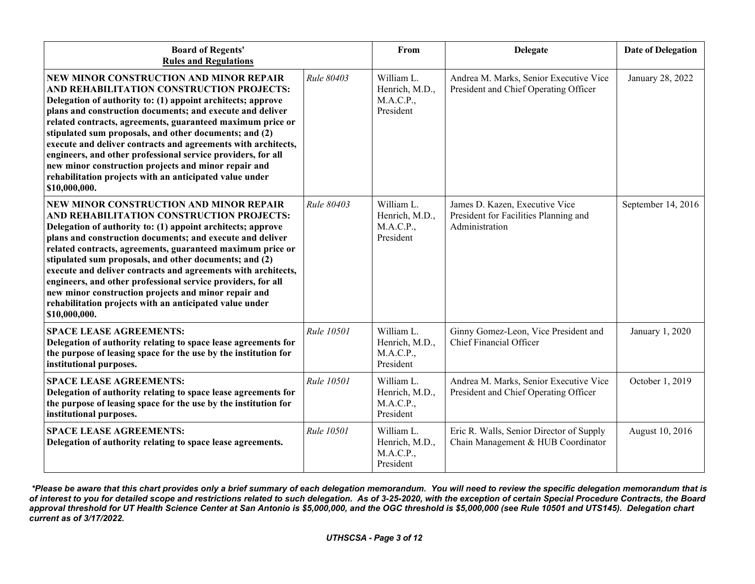| <b>Board of Regents'</b><br><b>Rules and Regulations</b>                                                                                                                                                                                                                                                                                                                                                                                                                                                                                                                                                      |            | From                                                   | <b>Delegate</b>                                                                           | <b>Date of Delegation</b> |
|---------------------------------------------------------------------------------------------------------------------------------------------------------------------------------------------------------------------------------------------------------------------------------------------------------------------------------------------------------------------------------------------------------------------------------------------------------------------------------------------------------------------------------------------------------------------------------------------------------------|------------|--------------------------------------------------------|-------------------------------------------------------------------------------------------|---------------------------|
| NEW MINOR CONSTRUCTION AND MINOR REPAIR<br>AND REHABILITATION CONSTRUCTION PROJECTS:<br>Delegation of authority to: (1) appoint architects; approve<br>plans and construction documents; and execute and deliver<br>related contracts, agreements, guaranteed maximum price or<br>stipulated sum proposals, and other documents; and (2)<br>execute and deliver contracts and agreements with architects,<br>engineers, and other professional service providers, for all<br>new minor construction projects and minor repair and<br>rehabilitation projects with an anticipated value under<br>\$10,000,000. | Rule 80403 | William L.<br>Henrich, M.D.,<br>M.A.C.P.,<br>President | Andrea M. Marks, Senior Executive Vice<br>President and Chief Operating Officer           | January 28, 2022          |
| NEW MINOR CONSTRUCTION AND MINOR REPAIR<br>AND REHABILITATION CONSTRUCTION PROJECTS:<br>Delegation of authority to: (1) appoint architects; approve<br>plans and construction documents; and execute and deliver<br>related contracts, agreements, guaranteed maximum price or<br>stipulated sum proposals, and other documents; and (2)<br>execute and deliver contracts and agreements with architects,<br>engineers, and other professional service providers, for all<br>new minor construction projects and minor repair and<br>rehabilitation projects with an anticipated value under<br>\$10,000,000. | Rule 80403 | William L.<br>Henrich, M.D.,<br>M.A.C.P.,<br>President | James D. Kazen, Executive Vice<br>President for Facilities Planning and<br>Administration | September 14, 2016        |
| <b>SPACE LEASE AGREEMENTS:</b><br>Delegation of authority relating to space lease agreements for<br>the purpose of leasing space for the use by the institution for<br>institutional purposes.                                                                                                                                                                                                                                                                                                                                                                                                                | Rule 10501 | William L.<br>Henrich, M.D.,<br>M.A.C.P.,<br>President | Ginny Gomez-Leon, Vice President and<br>Chief Financial Officer                           | January 1, 2020           |
| <b>SPACE LEASE AGREEMENTS:</b><br>Delegation of authority relating to space lease agreements for<br>the purpose of leasing space for the use by the institution for<br>institutional purposes.                                                                                                                                                                                                                                                                                                                                                                                                                | Rule 10501 | William L.<br>Henrich, M.D.,<br>M.A.C.P.,<br>President | Andrea M. Marks, Senior Executive Vice<br>President and Chief Operating Officer           | October 1, 2019           |
| <b>SPACE LEASE AGREEMENTS:</b><br>Delegation of authority relating to space lease agreements.                                                                                                                                                                                                                                                                                                                                                                                                                                                                                                                 | Rule 10501 | William L.<br>Henrich, M.D.,<br>M.A.C.P.,<br>President | Eric R. Walls, Senior Director of Supply<br>Chain Management & HUB Coordinator            | August 10, 2016           |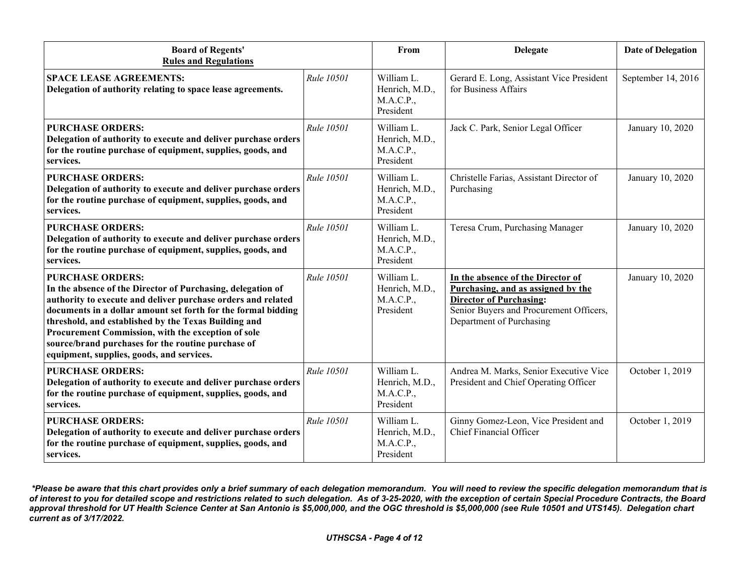| <b>Board of Regents'</b><br><b>Rules and Regulations</b>                                                                                                                                                                                                                                                                                                                                                                                 |                   | From                                                   | <b>Delegate</b>                                                                                                                                                                  | <b>Date of Delegation</b> |
|------------------------------------------------------------------------------------------------------------------------------------------------------------------------------------------------------------------------------------------------------------------------------------------------------------------------------------------------------------------------------------------------------------------------------------------|-------------------|--------------------------------------------------------|----------------------------------------------------------------------------------------------------------------------------------------------------------------------------------|---------------------------|
| <b>SPACE LEASE AGREEMENTS:</b><br>Delegation of authority relating to space lease agreements.                                                                                                                                                                                                                                                                                                                                            | Rule 10501        | William L.<br>Henrich, M.D.,<br>M.A.C.P.,<br>President | Gerard E. Long, Assistant Vice President<br>for Business Affairs                                                                                                                 | September 14, 2016        |
| <b>PURCHASE ORDERS:</b><br>Delegation of authority to execute and deliver purchase orders<br>for the routine purchase of equipment, supplies, goods, and<br>services.                                                                                                                                                                                                                                                                    | <b>Rule 10501</b> | William L.<br>Henrich, M.D.,<br>M.A.C.P.,<br>President | Jack C. Park, Senior Legal Officer                                                                                                                                               | January 10, 2020          |
| <b>PURCHASE ORDERS:</b><br>Delegation of authority to execute and deliver purchase orders<br>for the routine purchase of equipment, supplies, goods, and<br>services.                                                                                                                                                                                                                                                                    | <b>Rule 10501</b> | William L.<br>Henrich, M.D.,<br>M.A.C.P.,<br>President | Christelle Farias, Assistant Director of<br>Purchasing                                                                                                                           | January 10, 2020          |
| <b>PURCHASE ORDERS:</b><br>Delegation of authority to execute and deliver purchase orders<br>for the routine purchase of equipment, supplies, goods, and<br>services.                                                                                                                                                                                                                                                                    | Rule 10501        | William L.<br>Henrich, M.D.,<br>M.A.C.P.,<br>President | Teresa Crum, Purchasing Manager                                                                                                                                                  | January 10, 2020          |
| <b>PURCHASE ORDERS:</b><br>In the absence of the Director of Purchasing, delegation of<br>authority to execute and deliver purchase orders and related<br>documents in a dollar amount set forth for the formal bidding<br>threshold, and established by the Texas Building and<br>Procurement Commission, with the exception of sole<br>source/brand purchases for the routine purchase of<br>equipment, supplies, goods, and services. | Rule 10501        | William L.<br>Henrich, M.D.,<br>M.A.C.P.,<br>President | In the absence of the Director of<br>Purchasing, and as assigned by the<br><b>Director of Purchasing:</b><br>Senior Buyers and Procurement Officers,<br>Department of Purchasing | January 10, 2020          |
| <b>PURCHASE ORDERS:</b><br>Delegation of authority to execute and deliver purchase orders<br>for the routine purchase of equipment, supplies, goods, and<br>services.                                                                                                                                                                                                                                                                    | <b>Rule 10501</b> | William L.<br>Henrich, M.D.,<br>M.A.C.P.,<br>President | Andrea M. Marks, Senior Executive Vice<br>President and Chief Operating Officer                                                                                                  | October 1, 2019           |
| <b>PURCHASE ORDERS:</b><br>Delegation of authority to execute and deliver purchase orders<br>for the routine purchase of equipment, supplies, goods, and<br>services.                                                                                                                                                                                                                                                                    | <b>Rule 10501</b> | William L.<br>Henrich, M.D.,<br>M.A.C.P.,<br>President | Ginny Gomez-Leon, Vice President and<br><b>Chief Financial Officer</b>                                                                                                           | October 1, 2019           |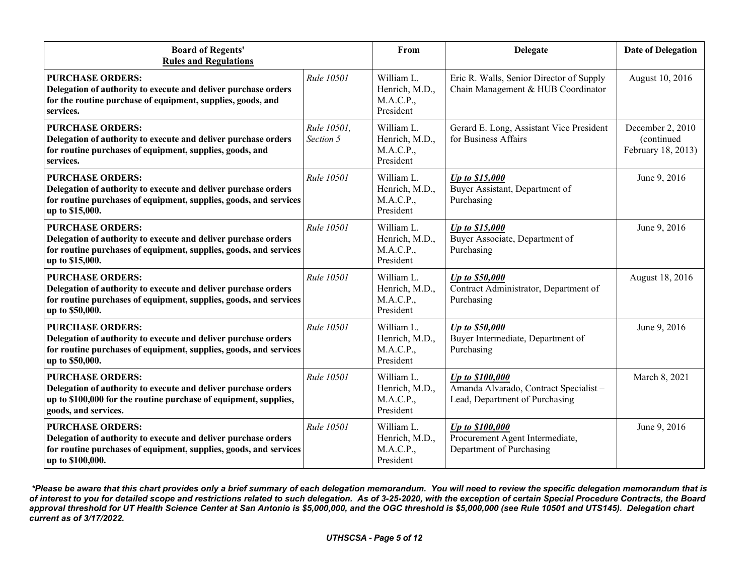| <b>Board of Regents'</b><br><b>Rules and Regulations</b>                                                                                                                              |                          | From                                                   | <b>Delegate</b>                                                                                   | <b>Date of Delegation</b>                            |
|---------------------------------------------------------------------------------------------------------------------------------------------------------------------------------------|--------------------------|--------------------------------------------------------|---------------------------------------------------------------------------------------------------|------------------------------------------------------|
| <b>PURCHASE ORDERS:</b><br>Delegation of authority to execute and deliver purchase orders<br>for the routine purchase of equipment, supplies, goods, and<br>services.                 | Rule 10501               | William L.<br>Henrich, M.D.,<br>M.A.C.P.,<br>President | Eric R. Walls, Senior Director of Supply<br>Chain Management & HUB Coordinator                    | August 10, 2016                                      |
| <b>PURCHASE ORDERS:</b><br>Delegation of authority to execute and deliver purchase orders<br>for routine purchases of equipment, supplies, goods, and<br>services.                    | Rule 10501,<br>Section 5 | William L.<br>Henrich, M.D.,<br>M.A.C.P.,<br>President | Gerard E. Long, Assistant Vice President<br>for Business Affairs                                  | December 2, 2010<br>(continued<br>February 18, 2013) |
| <b>PURCHASE ORDERS:</b><br>Delegation of authority to execute and deliver purchase orders<br>for routine purchases of equipment, supplies, goods, and services<br>up to \$15,000.     | Rule 10501               | William L.<br>Henrich, M.D.,<br>M.A.C.P.,<br>President | Up to \$15,000<br>Buyer Assistant, Department of<br>Purchasing                                    | June 9, 2016                                         |
| <b>PURCHASE ORDERS:</b><br>Delegation of authority to execute and deliver purchase orders<br>for routine purchases of equipment, supplies, goods, and services<br>up to \$15,000.     | Rule 10501               | William L.<br>Henrich, M.D.,<br>M.A.C.P.,<br>President | Up to \$15,000<br>Buyer Associate, Department of<br>Purchasing                                    | June 9, 2016                                         |
| <b>PURCHASE ORDERS:</b><br>Delegation of authority to execute and deliver purchase orders<br>for routine purchases of equipment, supplies, goods, and services<br>up to \$50,000.     | Rule 10501               | William L.<br>Henrich, M.D.,<br>M.A.C.P.,<br>President | Up to \$50,000<br>Contract Administrator, Department of<br>Purchasing                             | August 18, 2016                                      |
| <b>PURCHASE ORDERS:</b><br>Delegation of authority to execute and deliver purchase orders<br>for routine purchases of equipment, supplies, goods, and services<br>up to \$50,000.     | Rule 10501               | William L.<br>Henrich, M.D.,<br>M.A.C.P.,<br>President | Up to \$50,000<br>Buyer Intermediate, Department of<br>Purchasing                                 | June 9, 2016                                         |
| <b>PURCHASE ORDERS:</b><br>Delegation of authority to execute and deliver purchase orders<br>up to \$100,000 for the routine purchase of equipment, supplies,<br>goods, and services. | Rule 10501               | William L.<br>Henrich, M.D.,<br>M.A.C.P.,<br>President | <b>Up to \$100,000</b><br>Amanda Alvarado, Contract Specialist-<br>Lead, Department of Purchasing | March 8, 2021                                        |
| <b>PURCHASE ORDERS:</b><br>Delegation of authority to execute and deliver purchase orders<br>for routine purchases of equipment, supplies, goods, and services<br>up to \$100,000.    | Rule 10501               | William L.<br>Henrich, M.D.,<br>M.A.C.P.,<br>President | Up to \$100,000<br>Procurement Agent Intermediate,<br>Department of Purchasing                    | June 9, 2016                                         |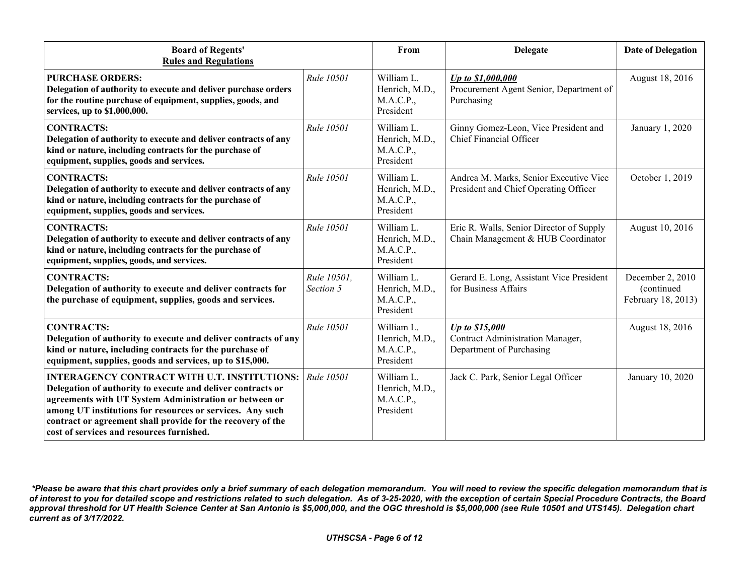| <b>Board of Regents'</b><br><b>Rules and Regulations</b>                                                                                                                                                                                                                                                                                              |                          | From                                                   | <b>Delegate</b>                                                                       | <b>Date of Delegation</b>                            |
|-------------------------------------------------------------------------------------------------------------------------------------------------------------------------------------------------------------------------------------------------------------------------------------------------------------------------------------------------------|--------------------------|--------------------------------------------------------|---------------------------------------------------------------------------------------|------------------------------------------------------|
| <b>PURCHASE ORDERS:</b><br>Delegation of authority to execute and deliver purchase orders<br>for the routine purchase of equipment, supplies, goods, and<br>services, up to \$1,000,000.                                                                                                                                                              | Rule 10501               | William L.<br>Henrich, M.D.,<br>M.A.C.P.,<br>President | Up to \$1,000,000<br>Procurement Agent Senior, Department of<br>Purchasing            | August 18, 2016                                      |
| <b>CONTRACTS:</b><br>Delegation of authority to execute and deliver contracts of any<br>kind or nature, including contracts for the purchase of<br>equipment, supplies, goods and services.                                                                                                                                                           | <b>Rule 10501</b>        | William L.<br>Henrich, M.D.,<br>M.A.C.P.,<br>President | Ginny Gomez-Leon, Vice President and<br>Chief Financial Officer                       | January 1, 2020                                      |
| <b>CONTRACTS:</b><br>Delegation of authority to execute and deliver contracts of any<br>kind or nature, including contracts for the purchase of<br>equipment, supplies, goods and services.                                                                                                                                                           | Rule 10501               | William L.<br>Henrich, M.D.,<br>M.A.C.P.,<br>President | Andrea M. Marks, Senior Executive Vice<br>President and Chief Operating Officer       | October 1, 2019                                      |
| <b>CONTRACTS:</b><br>Delegation of authority to execute and deliver contracts of any<br>kind or nature, including contracts for the purchase of<br>equipment, supplies, goods, and services.                                                                                                                                                          | <b>Rule 10501</b>        | William L.<br>Henrich, M.D.,<br>M.A.C.P.,<br>President | Eric R. Walls, Senior Director of Supply<br>Chain Management & HUB Coordinator        | August 10, 2016                                      |
| <b>CONTRACTS:</b><br>Delegation of authority to execute and deliver contracts for<br>the purchase of equipment, supplies, goods and services.                                                                                                                                                                                                         | Rule 10501.<br>Section 5 | William L.<br>Henrich, M.D.,<br>M.A.C.P.,<br>President | Gerard E. Long, Assistant Vice President<br>for Business Affairs                      | December 2, 2010<br>(continued<br>February 18, 2013) |
| <b>CONTRACTS:</b><br>Delegation of authority to execute and deliver contracts of any<br>kind or nature, including contracts for the purchase of<br>equipment, supplies, goods and services, up to \$15,000.                                                                                                                                           | Rule 10501               | William L.<br>Henrich, M.D.,<br>M.A.C.P.,<br>President | Up to \$15,000<br><b>Contract Administration Manager,</b><br>Department of Purchasing | August 18, 2016                                      |
| <b>INTERAGENCY CONTRACT WITH U.T. INSTITUTIONS:</b><br>Delegation of authority to execute and deliver contracts or<br>agreements with UT System Administration or between or<br>among UT institutions for resources or services. Any such<br>contract or agreement shall provide for the recovery of the<br>cost of services and resources furnished. | <b>Rule 10501</b>        | William L.<br>Henrich, M.D.,<br>M.A.C.P.,<br>President | Jack C. Park, Senior Legal Officer                                                    | January 10, 2020                                     |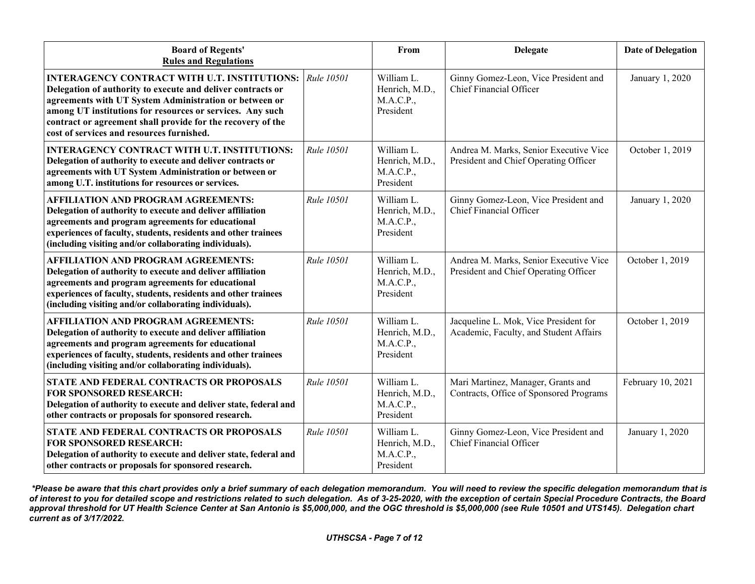| <b>Board of Regents'</b><br><b>Rules and Regulations</b>                                                                                                                                                                                                                                                                                              |                   | From                                                   | <b>Delegate</b>                                                                 | <b>Date of Delegation</b> |
|-------------------------------------------------------------------------------------------------------------------------------------------------------------------------------------------------------------------------------------------------------------------------------------------------------------------------------------------------------|-------------------|--------------------------------------------------------|---------------------------------------------------------------------------------|---------------------------|
| <b>INTERAGENCY CONTRACT WITH U.T. INSTITUTIONS:</b><br>Delegation of authority to execute and deliver contracts or<br>agreements with UT System Administration or between or<br>among UT institutions for resources or services. Any such<br>contract or agreement shall provide for the recovery of the<br>cost of services and resources furnished. | Rule 10501        | William L.<br>Henrich, M.D.,<br>M.A.C.P.,<br>President | Ginny Gomez-Leon, Vice President and<br>Chief Financial Officer                 | January 1, 2020           |
| <b>INTERAGENCY CONTRACT WITH U.T. INSTITUTIONS:</b><br>Delegation of authority to execute and deliver contracts or<br>agreements with UT System Administration or between or<br>among U.T. institutions for resources or services.                                                                                                                    | <b>Rule 10501</b> | William L.<br>Henrich, M.D.,<br>M.A.C.P.,<br>President | Andrea M. Marks, Senior Executive Vice<br>President and Chief Operating Officer | October 1, 2019           |
| <b>AFFILIATION AND PROGRAM AGREEMENTS:</b><br>Delegation of authority to execute and deliver affiliation<br>agreements and program agreements for educational<br>experiences of faculty, students, residents and other trainees<br>(including visiting and/or collaborating individuals).                                                             | <b>Rule 10501</b> | William L.<br>Henrich, M.D.,<br>M.A.C.P.,<br>President | Ginny Gomez-Leon, Vice President and<br><b>Chief Financial Officer</b>          | January 1, 2020           |
| <b>AFFILIATION AND PROGRAM AGREEMENTS:</b><br>Delegation of authority to execute and deliver affiliation<br>agreements and program agreements for educational<br>experiences of faculty, students, residents and other trainees<br>(including visiting and/or collaborating individuals).                                                             | Rule 10501        | William L.<br>Henrich, M.D.,<br>M.A.C.P.,<br>President | Andrea M. Marks, Senior Executive Vice<br>President and Chief Operating Officer | October 1, 2019           |
| <b>AFFILIATION AND PROGRAM AGREEMENTS:</b><br>Delegation of authority to execute and deliver affiliation<br>agreements and program agreements for educational<br>experiences of faculty, students, residents and other trainees<br>(including visiting and/or collaborating individuals).                                                             | Rule 10501        | William L.<br>Henrich, M.D.,<br>M.A.C.P.,<br>President | Jacqueline L. Mok, Vice President for<br>Academic, Faculty, and Student Affairs | October 1, 2019           |
| STATE AND FEDERAL CONTRACTS OR PROPOSALS<br><b>FOR SPONSORED RESEARCH:</b><br>Delegation of authority to execute and deliver state, federal and<br>other contracts or proposals for sponsored research.                                                                                                                                               | Rule 10501        | William L.<br>Henrich, M.D.,<br>M.A.C.P.,<br>President | Mari Martinez, Manager, Grants and<br>Contracts, Office of Sponsored Programs   | February 10, 2021         |
| STATE AND FEDERAL CONTRACTS OR PROPOSALS<br><b>FOR SPONSORED RESEARCH:</b><br>Delegation of authority to execute and deliver state, federal and<br>other contracts or proposals for sponsored research.                                                                                                                                               | Rule 10501        | William L.<br>Henrich, M.D.,<br>M.A.C.P.,<br>President | Ginny Gomez-Leon, Vice President and<br>Chief Financial Officer                 | January 1, 2020           |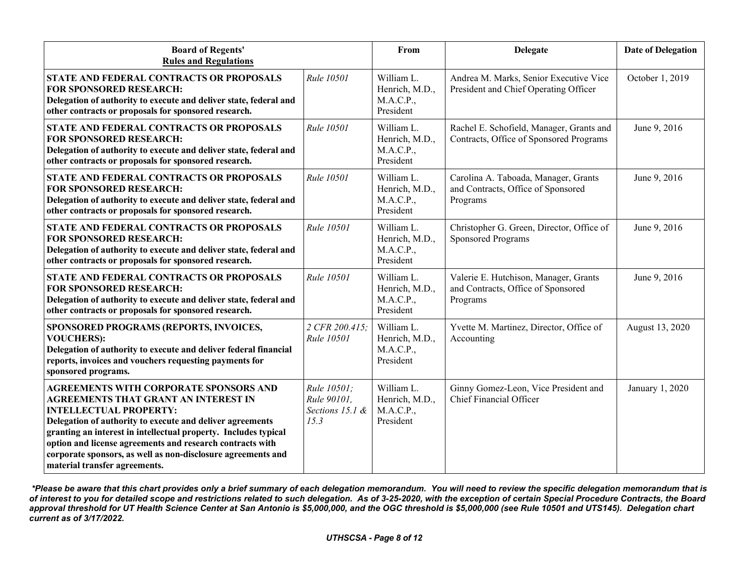| <b>Board of Regents'</b><br><b>Rules and Regulations</b>                                                                                                                                                                                                                                                                                                                                                                    |                                                       | From                                                   | <b>Delegate</b>                                                                         | <b>Date of Delegation</b> |
|-----------------------------------------------------------------------------------------------------------------------------------------------------------------------------------------------------------------------------------------------------------------------------------------------------------------------------------------------------------------------------------------------------------------------------|-------------------------------------------------------|--------------------------------------------------------|-----------------------------------------------------------------------------------------|---------------------------|
| STATE AND FEDERAL CONTRACTS OR PROPOSALS<br><b>FOR SPONSORED RESEARCH:</b><br>Delegation of authority to execute and deliver state, federal and<br>other contracts or proposals for sponsored research.                                                                                                                                                                                                                     | Rule 10501                                            | William L.<br>Henrich, M.D.,<br>M.A.C.P.,<br>President | Andrea M. Marks, Senior Executive Vice<br>President and Chief Operating Officer         | October 1, 2019           |
| STATE AND FEDERAL CONTRACTS OR PROPOSALS<br><b>FOR SPONSORED RESEARCH:</b><br>Delegation of authority to execute and deliver state, federal and<br>other contracts or proposals for sponsored research.                                                                                                                                                                                                                     | <b>Rule 10501</b>                                     | William L.<br>Henrich, M.D.,<br>M.A.C.P.,<br>President | Rachel E. Schofield, Manager, Grants and<br>Contracts, Office of Sponsored Programs     | June 9, 2016              |
| <b>STATE AND FEDERAL CONTRACTS OR PROPOSALS</b><br><b>FOR SPONSORED RESEARCH:</b><br>Delegation of authority to execute and deliver state, federal and<br>other contracts or proposals for sponsored research.                                                                                                                                                                                                              | <b>Rule 10501</b>                                     | William L.<br>Henrich, M.D.,<br>M.A.C.P.,<br>President | Carolina A. Taboada, Manager, Grants<br>and Contracts, Office of Sponsored<br>Programs  | June 9, 2016              |
| STATE AND FEDERAL CONTRACTS OR PROPOSALS<br><b>FOR SPONSORED RESEARCH:</b><br>Delegation of authority to execute and deliver state, federal and<br>other contracts or proposals for sponsored research.                                                                                                                                                                                                                     | Rule 10501                                            | William L.<br>Henrich, M.D.,<br>M.A.C.P.,<br>President | Christopher G. Green, Director, Office of<br><b>Sponsored Programs</b>                  | June 9, 2016              |
| <b>STATE AND FEDERAL CONTRACTS OR PROPOSALS</b><br><b>FOR SPONSORED RESEARCH:</b><br>Delegation of authority to execute and deliver state, federal and<br>other contracts or proposals for sponsored research.                                                                                                                                                                                                              | Rule 10501                                            | William L.<br>Henrich, M.D.,<br>M.A.C.P.,<br>President | Valerie E. Hutchison, Manager, Grants<br>and Contracts, Office of Sponsored<br>Programs | June 9, 2016              |
| SPONSORED PROGRAMS (REPORTS, INVOICES,<br><b>VOUCHERS):</b><br>Delegation of authority to execute and deliver federal financial<br>reports, invoices and vouchers requesting payments for<br>sponsored programs.                                                                                                                                                                                                            | 2 CFR 200.415:<br>Rule 10501                          | William L.<br>Henrich, M.D.,<br>M.A.C.P.,<br>President | Yvette M. Martinez, Director, Office of<br>Accounting                                   | August 13, 2020           |
| <b>AGREEMENTS WITH CORPORATE SPONSORS AND</b><br><b>AGREEMENTS THAT GRANT AN INTEREST IN</b><br><b>INTELLECTUAL PROPERTY:</b><br>Delegation of authority to execute and deliver agreements<br>granting an interest in intellectual property. Includes typical<br>option and license agreements and research contracts with<br>corporate sponsors, as well as non-disclosure agreements and<br>material transfer agreements. | Rule 10501;<br>Rule 90101,<br>Sections 15.1 &<br>15.3 | William L.<br>Henrich, M.D.,<br>M.A.C.P.,<br>President | Ginny Gomez-Leon, Vice President and<br>Chief Financial Officer                         | January 1, 2020           |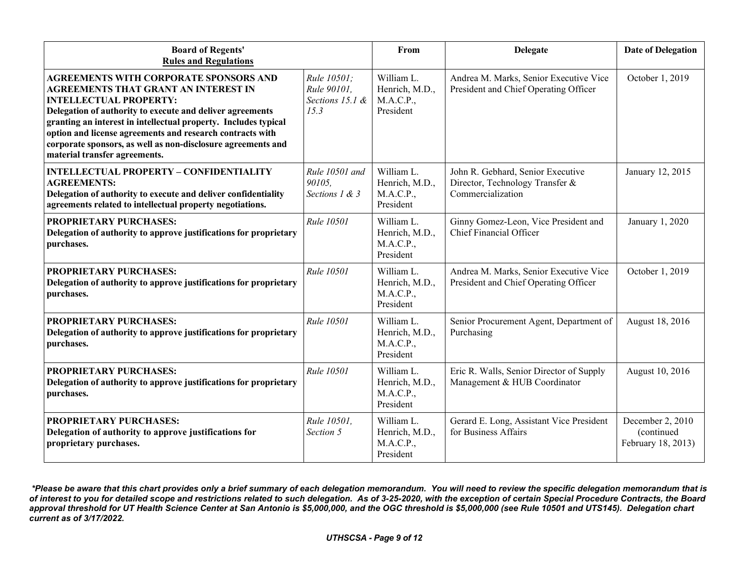| <b>Board of Regents'</b><br><b>Rules and Regulations</b>                                                                                                                                                                                                                                                                                                                                                                    |                                                       | From                                                   | <b>Delegate</b>                                                                           | <b>Date of Delegation</b>                            |
|-----------------------------------------------------------------------------------------------------------------------------------------------------------------------------------------------------------------------------------------------------------------------------------------------------------------------------------------------------------------------------------------------------------------------------|-------------------------------------------------------|--------------------------------------------------------|-------------------------------------------------------------------------------------------|------------------------------------------------------|
| <b>AGREEMENTS WITH CORPORATE SPONSORS AND</b><br><b>AGREEMENTS THAT GRANT AN INTEREST IN</b><br><b>INTELLECTUAL PROPERTY:</b><br>Delegation of authority to execute and deliver agreements<br>granting an interest in intellectual property. Includes typical<br>option and license agreements and research contracts with<br>corporate sponsors, as well as non-disclosure agreements and<br>material transfer agreements. | Rule 10501:<br>Rule 90101,<br>Sections 15.1 &<br>15.3 | William L.<br>Henrich, M.D.,<br>M.A.C.P.,<br>President | Andrea M. Marks, Senior Executive Vice<br>President and Chief Operating Officer           | October 1, 2019                                      |
| <b>INTELLECTUAL PROPERTY - CONFIDENTIALITY</b><br><b>AGREEMENTS:</b><br>Delegation of authority to execute and deliver confidentiality<br>agreements related to intellectual property negotiations.                                                                                                                                                                                                                         | Rule 10501 and<br>90105.<br>Sections 1 & 3            | William L.<br>Henrich, M.D.,<br>M.A.C.P.,<br>President | John R. Gebhard, Senior Executive<br>Director, Technology Transfer &<br>Commercialization | January 12, 2015                                     |
| <b>PROPRIETARY PURCHASES:</b><br>Delegation of authority to approve justifications for proprietary<br>purchases.                                                                                                                                                                                                                                                                                                            | <b>Rule 10501</b>                                     | William L.<br>Henrich, M.D.,<br>M.A.C.P.,<br>President | Ginny Gomez-Leon, Vice President and<br>Chief Financial Officer                           | January 1, 2020                                      |
| PROPRIETARY PURCHASES:<br>Delegation of authority to approve justifications for proprietary<br>purchases.                                                                                                                                                                                                                                                                                                                   | Rule 10501                                            | William L.<br>Henrich, M.D.,<br>M.A.C.P.,<br>President | Andrea M. Marks, Senior Executive Vice<br>President and Chief Operating Officer           | October 1, 2019                                      |
| <b>PROPRIETARY PURCHASES:</b><br>Delegation of authority to approve justifications for proprietary<br>purchases.                                                                                                                                                                                                                                                                                                            | <b>Rule 10501</b>                                     | William L.<br>Henrich, M.D.,<br>M.A.C.P.,<br>President | Senior Procurement Agent, Department of<br>Purchasing                                     | August 18, 2016                                      |
| PROPRIETARY PURCHASES:<br>Delegation of authority to approve justifications for proprietary<br>purchases.                                                                                                                                                                                                                                                                                                                   | Rule 10501                                            | William L.<br>Henrich, M.D.,<br>M.A.C.P.,<br>President | Eric R. Walls, Senior Director of Supply<br>Management & HUB Coordinator                  | August 10, 2016                                      |
| <b>PROPRIETARY PURCHASES:</b><br>Delegation of authority to approve justifications for<br>proprietary purchases.                                                                                                                                                                                                                                                                                                            | Rule 10501,<br>Section 5                              | William L.<br>Henrich, M.D.,<br>M.A.C.P.,<br>President | Gerard E. Long, Assistant Vice President<br>for Business Affairs                          | December 2, 2010<br>(continued<br>February 18, 2013) |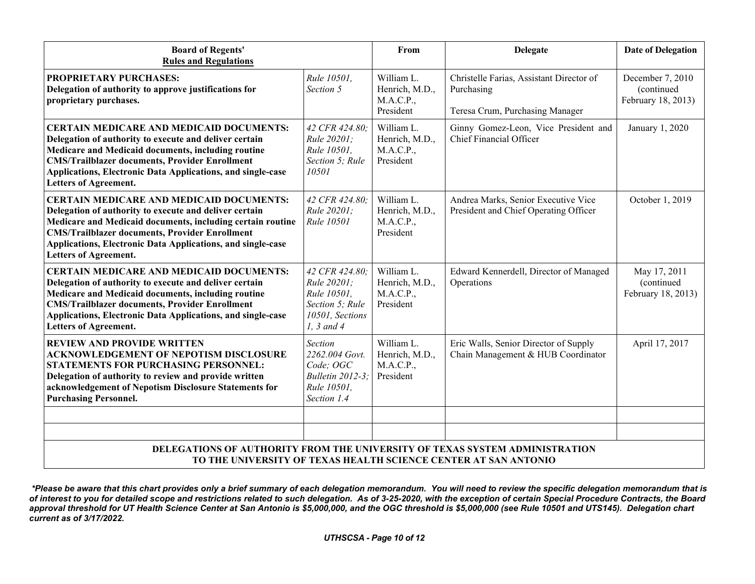| <b>Board of Regents'</b><br><b>Rules and Regulations</b>                                                                                                                                                                                                                                                                        |                                                                                                    | From                                                   | <b>Delegate</b>                                                                           | <b>Date of Delegation</b>                            |  |  |
|---------------------------------------------------------------------------------------------------------------------------------------------------------------------------------------------------------------------------------------------------------------------------------------------------------------------------------|----------------------------------------------------------------------------------------------------|--------------------------------------------------------|-------------------------------------------------------------------------------------------|------------------------------------------------------|--|--|
| PROPRIETARY PURCHASES:<br>Delegation of authority to approve justifications for<br>proprietary purchases.                                                                                                                                                                                                                       | Rule 10501,<br>Section 5                                                                           | William L.<br>Henrich, M.D.,<br>M.A.C.P.,<br>President | Christelle Farias, Assistant Director of<br>Purchasing<br>Teresa Crum, Purchasing Manager | December 7, 2010<br>(continued<br>February 18, 2013) |  |  |
| <b>CERTAIN MEDICARE AND MEDICAID DOCUMENTS:</b><br>Delegation of authority to execute and deliver certain<br>Medicare and Medicaid documents, including routine<br><b>CMS/Trailblazer documents, Provider Enrollment</b><br>Applications, Electronic Data Applications, and single-case<br>Letters of Agreement.                | 42 CFR 424.80:<br>Rule 20201;<br>Rule 10501,<br>Section 5; Rule<br>10501                           | William L.<br>Henrich, M.D.,<br>M.A.C.P.,<br>President | Ginny Gomez-Leon, Vice President and<br><b>Chief Financial Officer</b>                    | January 1, 2020                                      |  |  |
| <b>CERTAIN MEDICARE AND MEDICAID DOCUMENTS:</b><br>Delegation of authority to execute and deliver certain<br>Medicare and Medicaid documents, including certain routine<br><b>CMS/Trailblazer documents, Provider Enrollment</b><br>Applications, Electronic Data Applications, and single-case<br><b>Letters of Agreement.</b> | 42 CFR 424.80:<br>Rule 20201;<br>Rule 10501                                                        | William L.<br>Henrich, M.D.,<br>M.A.C.P.,<br>President | Andrea Marks, Senior Executive Vice<br>President and Chief Operating Officer              | October 1, 2019                                      |  |  |
| <b>CERTAIN MEDICARE AND MEDICAID DOCUMENTS:</b><br>Delegation of authority to execute and deliver certain<br>Medicare and Medicaid documents, including routine<br><b>CMS/Trailblazer documents, Provider Enrollment</b><br>Applications, Electronic Data Applications, and single-case<br>Letters of Agreement.                | 42 CFR 424.80:<br>Rule 20201;<br>Rule 10501,<br>Section 5; Rule<br>10501, Sections<br>$1, 3$ and 4 | William L.<br>Henrich, M.D.,<br>M.A.C.P.,<br>President | Edward Kennerdell, Director of Managed<br>Operations                                      | May 17, 2011<br>(continued<br>February 18, 2013)     |  |  |
| <b>REVIEW AND PROVIDE WRITTEN</b><br><b>ACKNOWLEDGEMENT OF NEPOTISM DISCLOSURE</b><br><b>STATEMENTS FOR PURCHASING PERSONNEL:</b><br>Delegation of authority to review and provide written<br>acknowledgement of Nepotism Disclosure Statements for<br><b>Purchasing Personnel.</b>                                             | Section<br>2262.004 Govt.<br>Code; OGC<br><b>Bulletin 2012-3:</b><br>Rule 10501,<br>Section 1.4    | William L.<br>Henrich, M.D.,<br>M.A.C.P.,<br>President | Eric Walls, Senior Director of Supply<br>Chain Management & HUB Coordinator               | April 17, 2017                                       |  |  |
|                                                                                                                                                                                                                                                                                                                                 |                                                                                                    |                                                        |                                                                                           |                                                      |  |  |
|                                                                                                                                                                                                                                                                                                                                 |                                                                                                    |                                                        |                                                                                           |                                                      |  |  |
| DELEGATIONS OF AUTHORITY FROM THE UNIVERSITY OF TEXAS SYSTEM ADMINISTRATION<br>TO THE UNIVERSITY OF TEXAS HEALTH SCIENCE CENTER AT SAN ANTONIO                                                                                                                                                                                  |                                                                                                    |                                                        |                                                                                           |                                                      |  |  |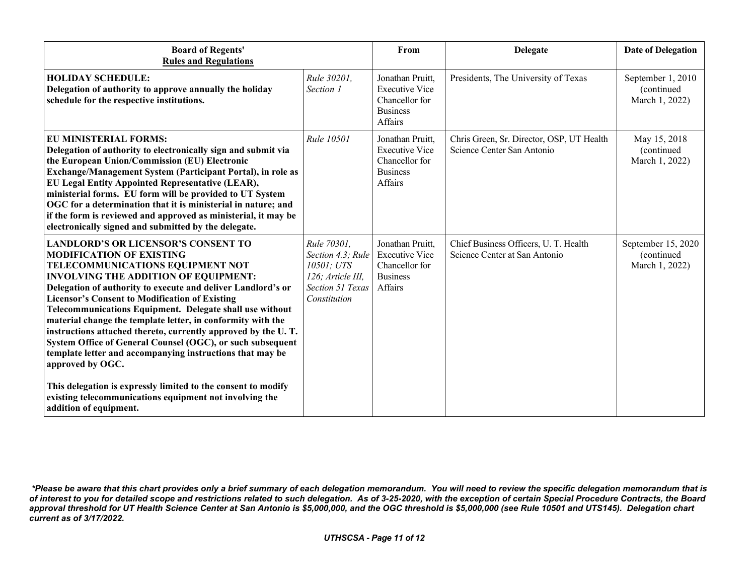| <b>Board of Regents'</b><br><b>Rules and Regulations</b>                                                                                                                                                                                                                                                                                                                                                                                                                                                                                                                                                                                                                                                                                                                                   |                                                                                                                | From                                                                                      | <b>Delegate</b>                                                         | <b>Date of Delegation</b>                          |
|--------------------------------------------------------------------------------------------------------------------------------------------------------------------------------------------------------------------------------------------------------------------------------------------------------------------------------------------------------------------------------------------------------------------------------------------------------------------------------------------------------------------------------------------------------------------------------------------------------------------------------------------------------------------------------------------------------------------------------------------------------------------------------------------|----------------------------------------------------------------------------------------------------------------|-------------------------------------------------------------------------------------------|-------------------------------------------------------------------------|----------------------------------------------------|
| <b>HOLIDAY SCHEDULE:</b><br>Delegation of authority to approve annually the holiday<br>schedule for the respective institutions.                                                                                                                                                                                                                                                                                                                                                                                                                                                                                                                                                                                                                                                           | Rule 30201,<br>Section 1                                                                                       | Jonathan Pruitt,<br><b>Executive Vice</b><br>Chancellor for<br><b>Business</b><br>Affairs | Presidents, The University of Texas                                     | September 1, 2010<br>(continued<br>March 1, 2022)  |
| <b>EU MINISTERIAL FORMS:</b><br>Delegation of authority to electronically sign and submit via<br>the European Union/Commission (EU) Electronic<br>Exchange/Management System (Participant Portal), in role as<br>EU Legal Entity Appointed Representative (LEAR),<br>ministerial forms. EU form will be provided to UT System<br>OGC for a determination that it is ministerial in nature; and<br>if the form is reviewed and approved as ministerial, it may be<br>electronically signed and submitted by the delegate.                                                                                                                                                                                                                                                                   | Rule 10501                                                                                                     | Jonathan Pruitt,<br><b>Executive Vice</b><br>Chancellor for<br><b>Business</b><br>Affairs | Chris Green, Sr. Director, OSP, UT Health<br>Science Center San Antonio | May 15, 2018<br>(continued<br>March 1, 2022)       |
| <b>LANDLORD'S OR LICENSOR'S CONSENT TO</b><br><b>MODIFICATION OF EXISTING</b><br>TELECOMMUNICATIONS EQUIPMENT NOT<br><b>INVOLVING THE ADDITION OF EQUIPMENT:</b><br>Delegation of authority to execute and deliver Landlord's or<br><b>Licensor's Consent to Modification of Existing</b><br>Telecommunications Equipment. Delegate shall use without<br>material change the template letter, in conformity with the<br>instructions attached thereto, currently approved by the U.T.<br>System Office of General Counsel (OGC), or such subsequent<br>template letter and accompanying instructions that may be<br>approved by OGC.<br>This delegation is expressly limited to the consent to modify<br>existing telecommunications equipment not involving the<br>addition of equipment. | Rule 70301,<br>Section 4.3; Rule<br>10501; UTS<br>126; Article III,<br><b>Section 51 Texas</b><br>Constitution | Jonathan Pruitt,<br><b>Executive Vice</b><br>Chancellor for<br><b>Business</b><br>Affairs | Chief Business Officers, U. T. Health<br>Science Center at San Antonio  | September 15, 2020<br>(continued<br>March 1, 2022) |

*<sup>\*</sup>Please be aware that this chart provides only a brief summary of each delegation memorandum. You will need to review the specific delegation memorandum that is of interest to you for detailed scope and restrictions related to such delegation. As of 3-25-2020, with the exception of certain Special Procedure Contracts, the Board approval threshold for UT Health Science Center at San Antonio is \$5,000,000, and the OGC threshold is \$5,000,000 (see Rule 10501 and UTS145). Delegation chart current as of 3/17/2022.*